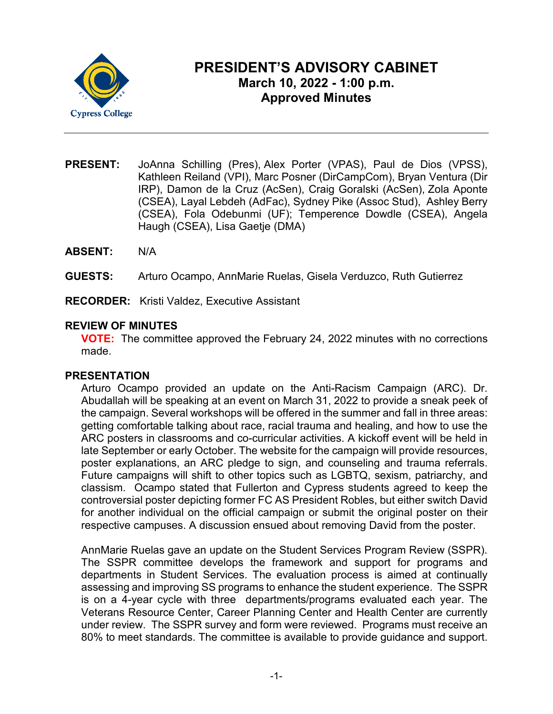

# **PRESIDENT'S ADVISORY CABINET March 10, 2022 - 1:00 p.m. Approved Minutes**

- **PRESENT:** JoAnna Schilling (Pres), Alex Porter (VPAS), Paul de Dios (VPSS), Kathleen Reiland (VPI), Marc Posner (DirCampCom), Bryan Ventura (Dir IRP), Damon de la Cruz (AcSen), Craig Goralski (AcSen), Zola Aponte (CSEA), Layal Lebdeh (AdFac), Sydney Pike (Assoc Stud), Ashley Berry (CSEA), Fola Odebunmi (UF); Temperence Dowdle (CSEA), Angela Haugh (CSEA), Lisa Gaetje (DMA)
- **ABSENT:** N/A
- **GUESTS:** Arturo Ocampo, AnnMarie Ruelas, Gisela Verduzco, Ruth Gutierrez
- **RECORDER:** Kristi Valdez, Executive Assistant

# **REVIEW OF MINUTES**

**VOTE:** The committee approved the February 24, 2022 minutes with no corrections made.

## **PRESENTATION**

Arturo Ocampo provided an update on the Anti-Racism Campaign (ARC). Dr. Abudallah will be speaking at an event on March 31, 2022 to provide a sneak peek of the campaign. Several workshops will be offered in the summer and fall in three areas: getting comfortable talking about race, racial trauma and healing, and how to use the ARC posters in classrooms and co-curricular activities. A kickoff event will be held in late September or early October. The website for the campaign will provide resources, poster explanations, an ARC pledge to sign, and counseling and trauma referrals. Future campaigns will shift to other topics such as LGBTQ, sexism, patriarchy, and classism. Ocampo stated that Fullerton and Cypress students agreed to keep the controversial poster depicting former FC AS President Robles, but either switch David for another individual on the official campaign or submit the original poster on their respective campuses. A discussion ensued about removing David from the poster.

AnnMarie Ruelas gave an update on the Student Services Program Review (SSPR). The SSPR committee develops the framework and support for programs and departments in Student Services. The evaluation process is aimed at continually assessing and improving SS programs to enhance the student experience. The SSPR is on a 4-year cycle with three departments/programs evaluated each year. The Veterans Resource Center, Career Planning Center and Health Center are currently under review. The SSPR survey and form were reviewed. Programs must receive an 80% to meet standards. The committee is available to provide guidance and support.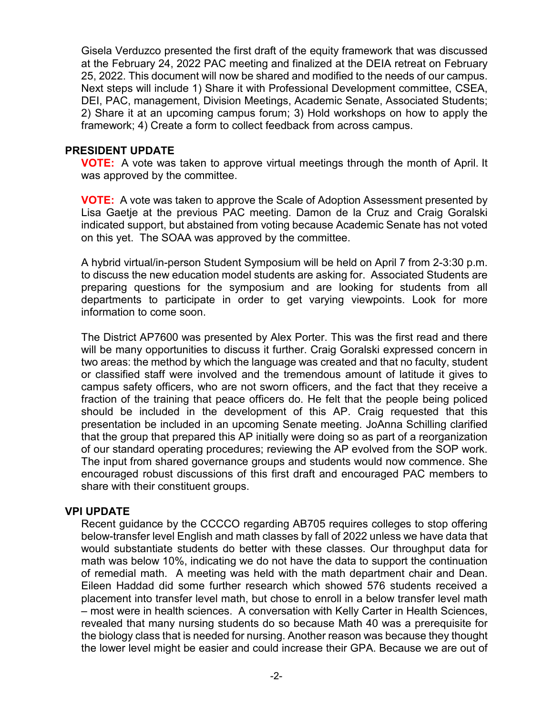Gisela Verduzco presented the first draft of the equity framework that was discussed at the February 24, 2022 PAC meeting and finalized at the DEIA retreat on February 25, 2022. This document will now be shared and modified to the needs of our campus. Next steps will include 1) Share it with Professional Development committee, CSEA, DEI, PAC, management, Division Meetings, Academic Senate, Associated Students; 2) Share it at an upcoming campus forum; 3) Hold workshops on how to apply the framework; 4) Create a form to collect feedback from across campus.

## **PRESIDENT UPDATE**

**VOTE:** A vote was taken to approve virtual meetings through the month of April. It was approved by the committee.

**VOTE:** A vote was taken to approve the Scale of Adoption Assessment presented by Lisa Gaetje at the previous PAC meeting. Damon de la Cruz and Craig Goralski indicated support, but abstained from voting because Academic Senate has not voted on this yet. The SOAA was approved by the committee.

A hybrid virtual/in-person Student Symposium will be held on April 7 from 2-3:30 p.m. to discuss the new education model students are asking for. Associated Students are preparing questions for the symposium and are looking for students from all departments to participate in order to get varying viewpoints. Look for more information to come soon.

The District AP7600 was presented by Alex Porter. This was the first read and there will be many opportunities to discuss it further. Craig Goralski expressed concern in two areas: the method by which the language was created and that no faculty, student or classified staff were involved and the tremendous amount of latitude it gives to campus safety officers, who are not sworn officers, and the fact that they receive a fraction of the training that peace officers do. He felt that the people being policed should be included in the development of this AP. Craig requested that this presentation be included in an upcoming Senate meeting. JoAnna Schilling clarified that the group that prepared this AP initially were doing so as part of a reorganization of our standard operating procedures; reviewing the AP evolved from the SOP work. The input from shared governance groups and students would now commence. She encouraged robust discussions of this first draft and encouraged PAC members to share with their constituent groups.

# **VPI UPDATE**

Recent guidance by the CCCCO regarding AB705 requires colleges to stop offering below-transfer level English and math classes by fall of 2022 unless we have data that would substantiate students do better with these classes. Our throughput data for math was below 10%, indicating we do not have the data to support the continuation of remedial math. A meeting was held with the math department chair and Dean. Eileen Haddad did some further research which showed 576 students received a placement into transfer level math, but chose to enroll in a below transfer level math – most were in health sciences. A conversation with Kelly Carter in Health Sciences, revealed that many nursing students do so because Math 40 was a prerequisite for the biology class that is needed for nursing. Another reason was because they thought the lower level might be easier and could increase their GPA. Because we are out of